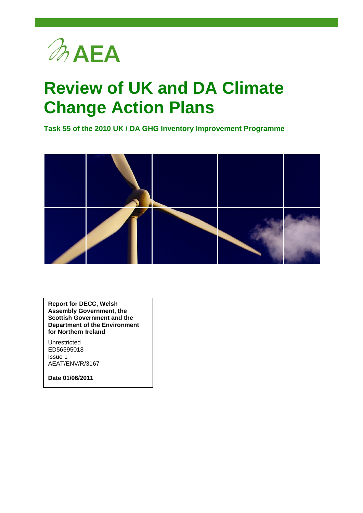

## **Review of UK and DA Climate Change Action Plans**

**Task 55 of the 2010 UK / DA GHG Inventory Improvement Programme**



**Report for DECC, Welsh Assembly Government, the Scottish Government and the Department of the Environment for Northern Ireland**

Unrestricted ED56595018 Issue 1 AEAT/ENV/R/3167

**Date 01/06/2011**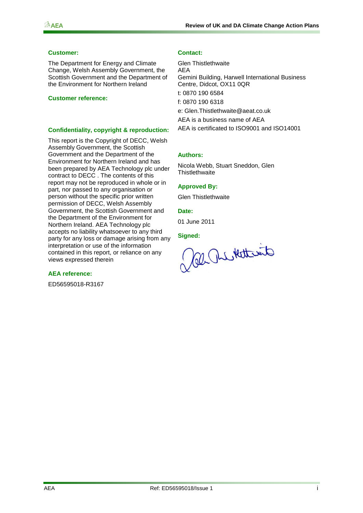#### $\n *A E A*\n$

#### **Customer: Contact:**

The Department for Energy and Climate Change, Welsh Assembly Government, the Scottish Government and the Department of the Environment for Northern Ireland

#### **Customer reference:**

#### **Confidentiality, copyright & reproduction:**

This report is the Copyright of DECC, Welsh Assembly Government, the Scottish Government and the Department of the Environment for Northern Ireland and has been prepared by AEA Technology plc under contract to DECC . The contents of this report may not be reproduced in whole or in part, nor passed to any organisation or person without the specific prior written permission of DECC, Welsh Assembly Government, the Scottish Government and the Department of the Environment for Northern Ireland. AEA Technology plc accepts no liability whatsoever to any third party for any loss or damage arising from any interpretation or use of the information contained in this report, or reliance on any views expressed therein

#### **AEA reference:**

ED56595018-R3167

Glen Thistlethwaite AEA Gemini Building, Harwell International Business Centre, Didcot, OX11 0QR t: 0870 190 6584 f: 0870 190 6318 e: [Glen.Thistlethwaite@aeat.co.uk](mailto:Glen.Thistlethwaite@aeat.co.uk) AEA is a business name of AEA AEA is certificated to ISO9001 and ISO14001

#### **Authors:**

Nicola Webb, Stuart Sneddon, Glen **Thistlethwaite** 

#### **Approved By:**

Glen Thistlethwaite

#### **Date:**

01 June 2011

**Signed:**

al Relativate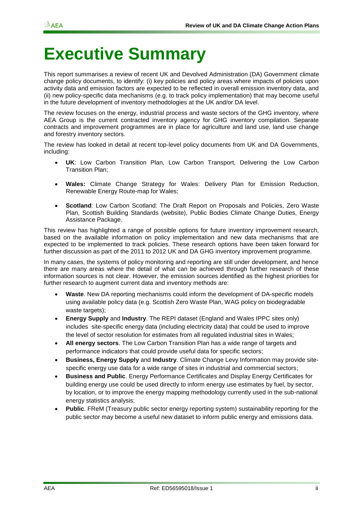## **Executive Summary**

This report summarises a review of recent UK and Devolved Administration (DA) Government climate change policy documents, to identify: (i) key policies and policy areas where impacts of policies upon activity data and emission factors are expected to be reflected in overall emission inventory data, and (ii) new policy-specific data mechanisms (e.g. to track policy implementation) that may become useful in the future development of inventory methodologies at the UK and/or DA level.

The review focuses on the energy, industrial process and waste sectors of the GHG inventory, where AEA Group is the current contracted inventory agency for GHG inventory compilation. Separate contracts and improvement programmes are in place for agriculture and land use, land use change and forestry inventory sectors.

The review has looked in detail at recent top-level policy documents from UK and DA Governments, including:

- **UK**: Low Carbon Transition Plan, Low Carbon Transport, Delivering the Low Carbon Transition Plan;
- **Wales:** Climate Change Strategy for Wales: Delivery Plan for Emission Reduction, Renewable Energy Route-map for Wales;
- **Scotland**: Low Carbon Scotland: The Draft Report on Proposals and Policies, Zero Waste Plan, Scottish Building Standards (website), Public Bodies Climate Change Duties, Energy Assistance Package.

This review has highlighted a range of possible options for future inventory improvement research, based on the available information on policy implementation and new data mechanisms that are expected to be implemented to track policies. These research options have been taken forward for further discussion as part of the 2011 to 2012 UK and DA GHG inventory improvement programme.

In many cases, the systems of policy monitoring and reporting are still under development, and hence there are many areas where the detail of what can be achieved through further research of these information sources is not clear. However, the emission sources identified as the highest priorities for further research to augment current data and inventory methods are:

- **Waste**. New DA reporting mechanisms could inform the development of DA-specific models using available policy data (e.g. Scottish Zero Waste Plan, WAG policy on biodegradable waste targets);
- **Energy Supply** and **Industry**. The REPI dataset (England and Wales IPPC sites only) includes site-specific energy data (including electricity data) that could be used to improve the level of sector resolution for estimates from all regulated industrial sites in Wales;
- **All energy sectors**. The Low Carbon Transition Plan has a wide range of targets and performance indicators that could provide useful data for specific sectors;
- **Business, Energy Supply** and **Industry**. Climate Change Levy Information may provide sitespecific energy use data for a wide range of sites in industrial and commercial sectors;
- **Business and Public**. Energy Performance Certificates and Display Energy Certificates for building energy use could be used directly to inform energy use estimates by fuel, by sector, by location, or to improve the energy mapping methodology currently used in the sub-national energy statistics analysis;
- **Public**. FReM (Treasury public sector energy reporting system) sustainability reporting for the public sector may become a useful new dataset to inform public energy and emissions data.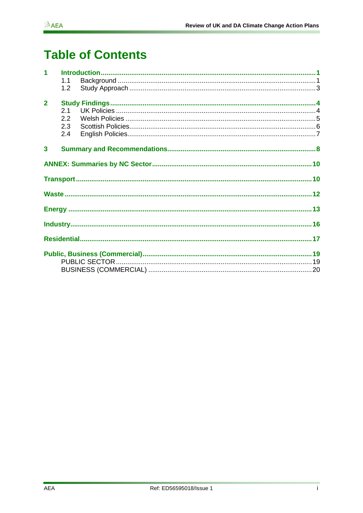## **Table of Contents**

| $\overline{1}$ |     |  |  |  |  |
|----------------|-----|--|--|--|--|
|                | 1.1 |  |  |  |  |
|                | 1.2 |  |  |  |  |
|                |     |  |  |  |  |
| $\overline{2}$ |     |  |  |  |  |
|                | 2.1 |  |  |  |  |
|                | 2.2 |  |  |  |  |
|                | 2.3 |  |  |  |  |
|                | 2.4 |  |  |  |  |
| $\overline{3}$ |     |  |  |  |  |
|                |     |  |  |  |  |
|                |     |  |  |  |  |
|                |     |  |  |  |  |
|                |     |  |  |  |  |
|                |     |  |  |  |  |
|                |     |  |  |  |  |
|                |     |  |  |  |  |
|                |     |  |  |  |  |
|                |     |  |  |  |  |
|                |     |  |  |  |  |
|                |     |  |  |  |  |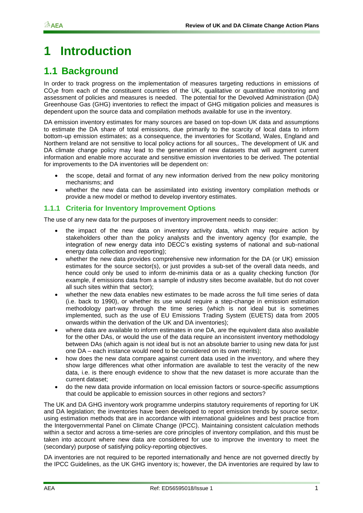### <span id="page-4-0"></span>**1 Introduction**

### <span id="page-4-1"></span>**1.1 Background**

In order to track progress on the implementation of measures targeting reductions in emissions of  $CO<sub>2</sub>e$  from each of the constituent countries of the UK, qualitative or quantitative monitoring and assessment of policies and measures is needed. The potential for the Devolved Administration (DA) Greenhouse Gas (GHG) inventories to reflect the impact of GHG mitigation policies and measures is dependent upon the source data and compilation methods available for use in the inventory.

DA emission inventory estimates for many sources are based on top-down UK data and assumptions to estimate the DA share of total emissions, due primarily to the scarcity of local data to inform bottom-up emission estimates; as a consequence, the inventories for Scotland, Wales, England and Northern Ireland are not sensitive to local policy actions for all sources,. The development of UK and DA climate change policy may lead to the generation of new datasets that will augment current information and enable more accurate and sensitive emission inventories to be derived. The potential for improvements to the DA inventories will be dependent on:

- the scope, detail and format of any new information derived from the new policy monitoring mechanisms; and
- whether the new data can be assimilated into existing inventory compilation methods or provide a new model or method to develop inventory estimates.

#### **1.1.1 Criteria for Inventory Improvement Options**

The use of any new data for the purposes of inventory improvement needs to consider:

- the impact of the new data on inventory activity data, which may require action by stakeholders other than the policy analysts and the inventory agency (for example, the integration of new energy data into DECC"s existing systems of national and sub-national energy data collection and reporting);
- whether the new data provides comprehensive new information for the DA (or UK) emission estimates for the source sector(s), or just provides a sub-set of the overall data needs, and hence could only be used to inform de-minimis data or as a quality checking function (for example, if emissions data from a sample of industry sites become available, but do not cover all such sites within that sector);
- whether the new data enables new estimates to be made across the full time series of data (i.e. back to 1990), or whether its use would require a step-change in emission estimation methodology part-way through the time series (which is not ideal but is sometimes implemented, such as the use of EU Emissions Trading System (EUETS) data from 2005 onwards within the derivation of the UK and DA inventories);
- where data are available to inform estimates in one DA, are the equivalent data also available for the other DAs, or would the use of the data require an inconsistent inventory methodology between DAs (which again is not ideal but is not an absolute barrier to using new data for just one DA – each instance would need to be considered on its own merits);
- how does the new data compare against current data used in the inventory, and where they show large differences what other information are available to test the veracity of the new data, i.e. is there enough evidence to show that the new dataset is more accurate than the current dataset;
- do the new data provide information on local emission factors or source-specific assumptions that could be applicable to emission sources in other regions and sectors?

The UK and DA GHG inventory work programme underpins statutory requirements of reporting for UK and DA legislation; the inventories have been developed to report emission trends by source sector, using estimation methods that are in accordance with international guidelines and best practice from the Intergovernmental Panel on Climate Change (IPCC). Maintaining consistent calculation methods within a sector and across a time-series are core principles of inventory compilation, and this must be taken into account where new data are considered for use to improve the inventory to meet the (secondary) purpose of satisfying policy-reporting objectives.

DA inventories are not required to be reported internationally and hence are not governed directly by the IPCC Guidelines, as the UK GHG inventory is; however, the DA inventories are required by law to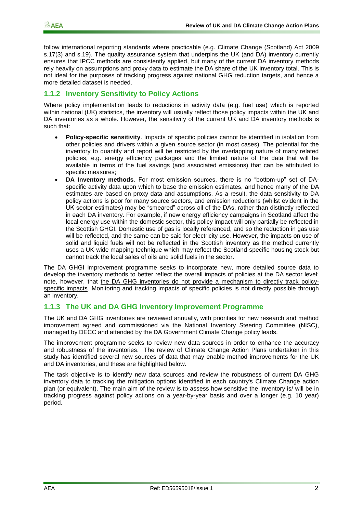follow international reporting standards where practicable (e.g. Climate Change (Scotland) Act 2009 s.17(3) and s.19). The quality assurance system that underpins the UK (and DA) inventory currently ensures that IPCC methods are consistently applied, but many of the current DA inventory methods rely heavily on assumptions and proxy data to estimate the DA share of the UK inventory total. This is not ideal for the purposes of tracking progress against national GHG reduction targets, and hence a more detailed dataset is needed.

#### **1.1.2 Inventory Sensitivity to Policy Actions**

Where policy implementation leads to reductions in activity data (e.g. fuel use) which is reported within national (UK) statistics, the inventory will usually reflect those policy impacts within the UK and DA inventories as a whole. However, the sensitivity of the current UK and DA inventory methods is such that:

- **Policy-specific sensitivity**. Impacts of specific policies cannot be identified in isolation from other policies and drivers within a given source sector (in most cases). The potential for the inventory to quantify and report will be restricted by the overlapping nature of many related policies, e.g. energy efficiency packages and the limited nature of the data that will be available in terms of the fuel savings (and associated emissions) that can be attributed to specific measures;
- **DA Inventory methods**. For most emission sources, there is no "bottom-up" set of DAspecific activity data upon which to base the emission estimates, and hence many of the DA estimates are based on proxy data and assumptions. As a result, the data sensitivity to DA policy actions is poor for many source sectors, and emission reductions (whilst evident in the UK sector estimates) may be "smeared" across all of the DAs, rather than distinctly reflected in each DA inventory. For example, if new energy efficiency campaigns in Scotland affect the local energy use within the domestic sector, this policy impact will only partially be reflected in the Scottish GHGI. Domestic use of gas is locally referenced, and so the reduction in gas use will be reflected, and the same can be said for electricity use. However, the impacts on use of solid and liquid fuels will not be reflected in the Scottish inventory as the method currently uses a UK-wide mapping technique which may reflect the Scotland-specific housing stock but cannot track the local sales of oils and solid fuels in the sector.

The DA GHGI improvement programme seeks to incorporate new, more detailed source data to develop the inventory methods to better reflect the overall impacts of policies at the DA sector level; note, however, that the DA GHG inventories do not provide a mechanism to directly track policyspecific impacts. Monitoring and tracking impacts of specific policies is not directly possible through an inventory.

#### **1.1.3 The UK and DA GHG Inventory Improvement Programme**

The UK and DA GHG inventories are reviewed annually, with priorities for new research and method improvement agreed and commissioned via the National Inventory Steering Committee (NISC), managed by DECC and attended by the DA Government Climate Change policy leads.

The improvement programme seeks to review new data sources in order to enhance the accuracy and robustness of the inventories. The review of Climate Change Action Plans undertaken in this study has identified several new sources of data that may enable method improvements for the UK and DA inventories, and these are highlighted below.

The task objective is to identify new data sources and review the robustness of current DA GHG inventory data to tracking the mitigation options identified in each country's Climate Change action plan (or equivalent). The main aim of the review is to assess how sensitive the inventory is/ will be in tracking progress against policy actions on a year-by-year basis and over a longer (e.g. 10 year) period.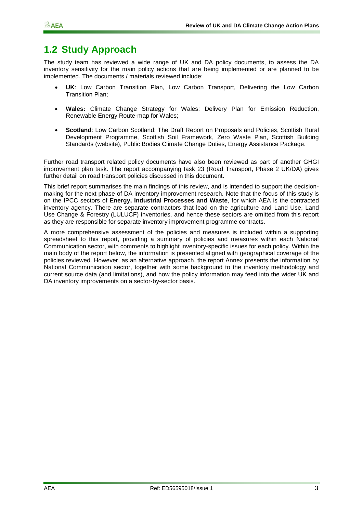### <span id="page-6-0"></span>**1.2 Study Approach**

The study team has reviewed a wide range of UK and DA policy documents, to assess the DA inventory sensitivity for the main policy actions that are being implemented or are planned to be implemented. The documents / materials reviewed include:

- **UK**: Low Carbon Transition Plan, Low Carbon Transport, Delivering the Low Carbon Transition Plan;
- **Wales:** Climate Change Strategy for Wales: Delivery Plan for Emission Reduction, Renewable Energy Route-map for Wales;
- **Scotland**: Low Carbon Scotland: The Draft Report on Proposals and Policies, Scottish Rural Development Programme, Scottish Soil Framework, Zero Waste Plan, Scottish Building Standards (website), Public Bodies Climate Change Duties, Energy Assistance Package.

Further road transport related policy documents have also been reviewed as part of another GHGI improvement plan task. The report accompanying task 23 (Road Transport, Phase 2 UK/DA) gives further detail on road transport policies discussed in this document.

This brief report summarises the main findings of this review, and is intended to support the decisionmaking for the next phase of DA inventory improvement research. Note that the focus of this study is on the IPCC sectors of **Energy, Industrial Processes and Waste**, for which AEA is the contracted inventory agency. There are separate contractors that lead on the agriculture and Land Use, Land Use Change & Forestry (LULUCF) inventories, and hence these sectors are omitted from this report as they are responsible for separate inventory improvement programme contracts.

A more comprehensive assessment of the policies and measures is included within a supporting spreadsheet to this report, providing a summary of policies and measures within each National Communication sector, with comments to highlight inventory-specific issues for each policy. Within the main body of the report below, the information is presented aligned with geographical coverage of the policies reviewed. However, as an alternative approach, the report Annex presents the information by National Communication sector, together with some background to the inventory methodology and current source data (and limitations), and how the policy information may feed into the wider UK and DA inventory improvements on a sector-by-sector basis.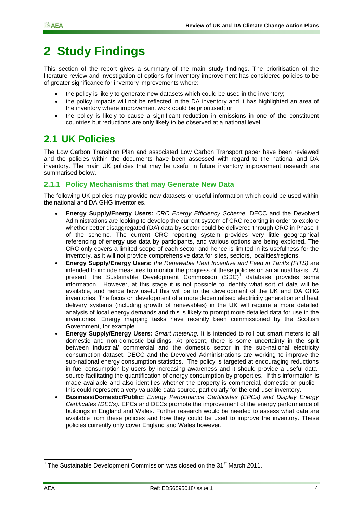### <span id="page-7-0"></span>**2 Study Findings**

This section of the report gives a summary of the main study findings. The prioritisation of the literature review and investigation of options for inventory improvement has considered policies to be of greater significance for inventory improvements where:

- the policy is likely to generate new datasets which could be used in the inventory;
- the policy impacts will not be reflected in the DA inventory and it has highlighted an area of the inventory where improvement work could be prioritised; or
- the policy is likely to cause a significant reduction in emissions in one of the constituent countries but reductions are only likely to be observed at a national level.

### <span id="page-7-1"></span>**2.1 UK Policies**

The Low Carbon Transition Plan and associated Low Carbon Transport paper have been reviewed and the policies within the documents have been assessed with regard to the national and DA inventory. The main UK policies that may be useful in future inventory improvement research are summarised below.

#### **2.1.1 Policy Mechanisms that may Generate New Data**

The following UK policies may provide new datasets or useful information which could be used within the national and DA GHG inventories.

- **Energy Supply/Energy Users:** *CRC Energy Efficiency Scheme.* DECC and the Devolved Administrations are looking to develop the current system of CRC reporting in order to explore whether better disaggregated (DA) data by sector could be delivered through CRC in Phase II of the scheme. The current CRC reporting system provides very little geographical referencing of energy use data by participants, and various options are being explored. The CRC only covers a limited scope of each sector and hence is limited in its usefulness for the inventory, as it will not provide comprehensive data for sites, sectors, localities/regions.
- **Energy Supply/Energy Users:** *the Renewable Heat Incentive and Feed in Tariffs (FITS)* are intended to include measures to monitor the progress of these policies on an annual basis. At present, the Sustainable Development Commission (SDC)<sup>1</sup> database provides some information. However, at this stage it is not possible to identify what sort of data will be available, and hence how useful this will be to the development of the UK and DA GHG inventories. The focus on development of a more decentralised electricity generation and heat delivery systems (including growth of renewables) in the UK will require a more detailed analysis of local energy demands and this is likely to prompt more detailed data for use in the inventories. Energy mapping tasks have recently been commissioned by the Scottish Government, for example.
- **Energy Supply/Energy Users:** *Smart metering.* **I**t is intended to roll out smart meters to all domestic and non-domestic buildings. At present, there is some uncertainty in the split between industrial/ commercial and the domestic sector in the sub-national electricity consumption dataset. DECC and the Devolved Administrations are working to improve the sub-national energy consumption statistics. The policy is targeted at encouraging reductions in fuel consumption by users by increasing awareness and it should provide a useful datasource facilitating the quantification of energy consumption by properties. If this information is made available and also identifies whether the property is commercial, domestic or public this could represent a very valuable data-source, particularly for the end-user inventory.
- **Business/Domestic/Public:** *Energy Performance Certificates (EPCs) and Display Energy Certificates (DECs).* EPCs and DECs promote the improvement of the energy performance of buildings in England and Wales. Further research would be needed to assess what data are available from these policies and how they could be used to improve the inventory. These policies currently only cover England and Wales however.

<sup>1</sup> <sup>1</sup> The Sustainable Development Commission was closed on the 31<sup>st</sup> March 2011.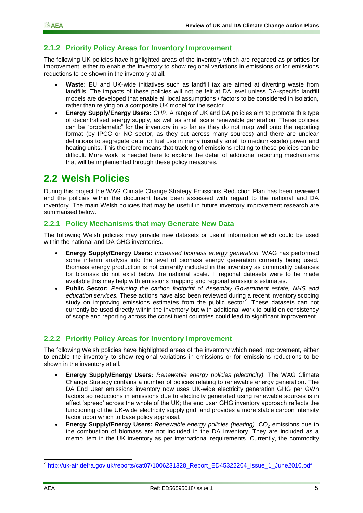### **2.1.2 Priority Policy Areas for Inventory Improvement**

The following UK policies have highlighted areas of the inventory which are regarded as priorities for improvement, either to enable the inventory to show regional variations in emissions or for emissions reductions to be shown in the inventory at all.

- **Waste:** EU and UK-wide initiatives such as landfill tax are aimed at diverting waste from landfills. The impacts of these policies will not be felt at DA level unless DA-specific landfill models are developed that enable all local assumptions / factors to be considered in isolation, rather than relying on a composite UK model for the sector.
- **Energy Supply/Energy Users:** *CHP.* A range of UK and DA policies aim to promote this type of decentralised energy supply, as well as small scale renewable generation. These policies can be "problematic" for the inventory in so far as they do not map well onto the reporting format (by IPCC or NC sector, as they cut across many sources) and there are unclear definitions to segregate data for fuel use in many (usually small to medium-scale) power and heating units. This therefore means that tracking of emissions relating to these policies can be difficult. More work is needed here to explore the detail of additional reporting mechanisms that will be implemented through these policy measures.

### <span id="page-8-0"></span>**2.2 Welsh Policies**

During this project the WAG Climate Change Strategy Emissions Reduction Plan has been reviewed and the policies within the document have been assessed with regard to the national and DA inventory. The main Welsh policies that may be useful in future inventory improvement research are summarised below.

#### **2.2.1 Policy Mechanisms that may Generate New Data**

The following Welsh policies may provide new datasets or useful information which could be used within the national and DA GHG inventories.

- **Energy Supply/Energy Users:** *Increased biomass energy generation.* WAG has performed some interim analysis into the level of biomass energy generation currently being used. Biomass energy production is not currently included in the inventory as commodity balances for biomass do not exist below the national scale. If regional datasets were to be made available this may help with emissions mapping and regional emissions estimates.
- **Public Sector:** *Reducing the carbon footprint of Assembly Government estate, NHS and education services.* These actions have also been reviewed during a recent inventory scoping study on improving emissions estimates from the public sector<sup>2</sup>. These datasets can not currently be used directly within the inventory but with additional work to build on consistency of scope and reporting across the constituent countries could lead to significant improvement.

#### **2.2.2 Priority Policy Areas for Inventory Improvement**

The following Welsh policies have highlighted areas of the inventory which need improvement, either to enable the inventory to show regional variations in emissions or for emissions reductions to be shown in the inventory at all.

- **Energy Supply/Energy Users:** *Renewable energy policies (electricity).* The WAG Climate Change Strategy contains a number of policies relating to renewable energy generation. The DA End User emissions inventory now uses UK-wide electricity generation GHG per GWh factors so reductions in emissions due to electricity generated using renewable sources is in effect "spread" across the whole of the UK; the end user GHG inventory approach reflects the functioning of the UK-wide electricity supply grid, and provides a more stable carbon intensity factor upon which to base policy appraisal.
- **Energy Supply/Energy Users:** *Renewable energy policies (heating).* CO<sub>2</sub> emissions due to the combustion of biomass are not included in the DA inventory. They are included as a memo item in the UK inventory as per international requirements. Currently, the commodity

<sup>1</sup> <sup>2</sup> [http://uk-air.defra.gov.uk/reports/cat07/1006231328\\_Report\\_ED45322204\\_Issue\\_1\\_June2010.pdf](http://uk-air.defra.gov.uk/reports/cat07/1006231328_Report_ED45322204_Issue_1_June2010.pdf)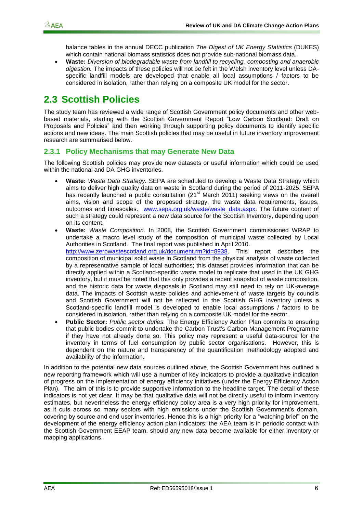balance tables in the annual DECC publication *The Digest of UK Energy Statistics* (DUKES) which contain national biomass statistics does not provide sub-national biomass data.

 **Waste:** *Diversion of biodegradable waste from landfill to recycling, composting and anaerobic digestion.* The impacts of these policies will not be felt in the Welsh inventory level unless DAspecific landfill models are developed that enable all local assumptions / factors to be considered in isolation, rather than relying on a composite UK model for the sector.

### <span id="page-9-0"></span>**2.3 Scottish Policies**

The study team has reviewed a wide range of Scottish Government policy documents and other webbased materials, starting with the Scottish Government Report "Low Carbon Scotland: Draft on Proposals and Policies" and then working through supporting policy documents to identify specific actions and new ideas. The main Scottish policies that may be useful in future inventory improvement research are summarised below.

#### **2.3.1 Policy Mechanisms that may Generate New Data**

The following Scottish policies may provide new datasets or useful information which could be used within the national and DA GHG inventories.

- **Waste:** *Waste Data Strategy.* SEPA are scheduled to develop a Waste Data Strategy which aims to deliver high quality data on waste in Scotland during the period of 2011-2025. SEPA has recently launched a public consultation (21<sup>st</sup> March 2011) seeking views on the overall aims, vision and scope of the proposed strategy, the waste data requirements, issues, outcomes and timescales. [www.sepa.org.uk/waste/waste\\_data.aspx.](http://www.sepa.org.uk/waste/waste_data.aspx) The future content of such a strategy could represent a new data source for the Scottish Inventory, depending upon on its content.
- **Waste:** *Waste Composition.* In 2008, the Scottish Government commissioned WRAP to undertake a macro level study of the composition of municipal waste collected by Local Authorities in Scotland. The final report was published in April 2010. [http://www.zerowastescotland.org.uk/document.rm?id=8938.](http://www.zerowastescotland.org.uk/document.rm?id=8938) This report describes the composition of municipal solid waste in Scotland from the physical analysis of waste collected by a representative sample of local authorities; this dataset provides information that can be directly applied within a Scotland-specific waste model to replicate that used in the UK GHG inventory, but it must be noted that this only provides a recent snapshot of waste composition, and the historic data for waste disposals in Scotland may still need to rely on UK-average data. The impacts of Scottish waste policies and achievement of waste targets by councils and Scottish Government will not be reflected in the Scottish GHG inventory unless a Scotland-specific landfill model is developed to enable local assumptions / factors to be considered in isolation, rather than relying on a composite UK model for the sector.
- **Public Sector:** *Public sector duties.* The Energy Efficiency Action Plan commits to ensuring that public bodies commit to undertake the Carbon Trust's Carbon Management Programme if they have not already done so. This policy may represent a useful data-source for the inventory in terms of fuel consumption by public sector organisations. However, this is dependent on the nature and transparency of the quantification methodology adopted and availability of the information.

In addition to the potential new data sources outlined above, the Scottish Government has outlined a new reporting framework which will use a number of key indicators to provide a qualitative indication of progress on the implementation of energy efficiency initiatives (under the Energy Efficiency Action Plan). The aim of this is to provide supportive information to the headline target. The detail of these indicators is not yet clear. It may be that qualitative data will not be directly useful to inform inventory estimates, but nevertheless the energy efficiency policy area is a very high priority for improvement, as it cuts across so many sectors with high emissions under the Scottish Government's domain, covering by source and end user inventories. Hence this is a high priority for a "watching brief" on the development of the energy efficiency action plan indicators; the AEA team is in periodic contact with the Scottish Government EEAP team, should any new data become available for either inventory or mapping applications.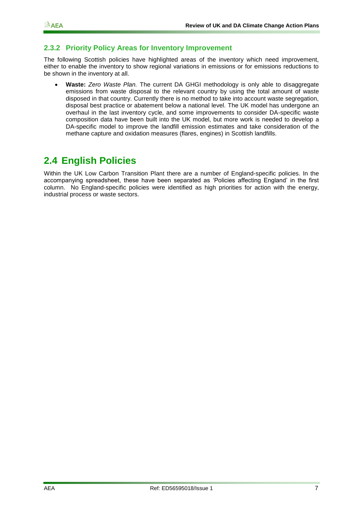#### **2.3.2 Priority Policy Areas for Inventory Improvement**

The following Scottish policies have highlighted areas of the inventory which need improvement, either to enable the inventory to show regional variations in emissions or for emissions reductions to be shown in the inventory at all.

 **Waste:** *Zero Waste Plan.* The current DA GHGI methodology is only able to disaggregate emissions from waste disposal to the relevant country by using the total amount of waste disposed in that country. Currently there is no method to take into account waste segregation, disposal best practice or abatement below a national level. The UK model has undergone an overhaul in the last inventory cycle, and some improvements to consider DA-specific waste composition data have been built into the UK model, but more work is needed to develop a DA-specific model to improve the landfill emission estimates and take consideration of the methane capture and oxidation measures (flares, engines) in Scottish landfills.

### <span id="page-10-0"></span>**2.4 English Policies**

Within the UK Low Carbon Transition Plant there are a number of England-specific policies. In the accompanying spreadsheet, these have been separated as "Policies affecting England" in the first column. No England-specific policies were identified as high priorities for action with the energy, industrial process or waste sectors.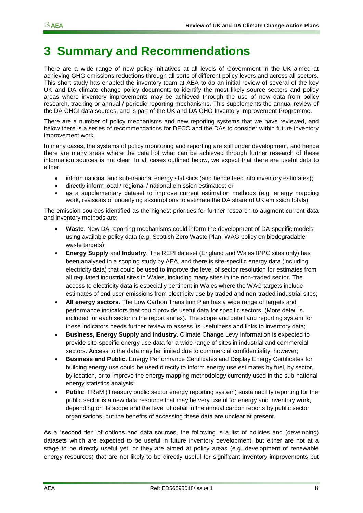### <span id="page-11-0"></span>**3 Summary and Recommendations**

There are a wide range of new policy initiatives at all levels of Government in the UK aimed at achieving GHG emissions reductions through all sorts of different policy levers and across all sectors. This short study has enabled the inventory team at AEA to do an initial review of several of the key UK and DA climate change policy documents to identify the most likely source sectors and policy areas where inventory improvements may be achieved through the use of new data from policy research, tracking or annual / periodic reporting mechanisms. This supplements the annual review of the DA GHGI data sources, and is part of the UK and DA GHG Inventory Improvement Programme.

There are a number of policy mechanisms and new reporting systems that we have reviewed, and below there is a series of recommendations for DECC and the DAs to consider within future inventory improvement work.

In many cases, the systems of policy monitoring and reporting are still under development, and hence there are many areas where the detail of what can be achieved through further research of these information sources is not clear. In all cases outlined below, we expect that there are useful data to either:

- inform national and sub-national energy statistics (and hence feed into inventory estimates);
- directly inform local / regional / national emission estimates; or
- as a supplementary dataset to improve current estimation methods (e.g. energy mapping work, revisions of underlying assumptions to estimate the DA share of UK emission totals).

The emission sources identified as the highest priorities for further research to augment current data and inventory methods are:

- **Waste**. New DA reporting mechanisms could inform the development of DA-specific models using available policy data (e.g. Scottish Zero Waste Plan, WAG policy on biodegradable waste targets);
- **Energy Supply** and **Industry**. The REPI dataset (England and Wales IPPC sites only) has been analysed in a scoping study by AEA, and there is site-specific energy data (including electricity data) that could be used to improve the level of sector resolution for estimates from all regulated industrial sites in Wales, including many sites in the non-traded sector. The access to electricity data is especially pertinent in Wales where the WAG targets include estimates of end user emissions from electricity use by traded and non-traded industrial sites;
- **All energy sectors**. The Low Carbon Transition Plan has a wide range of targets and performance indicators that could provide useful data for specific sectors. (More detail is included for each sector in the report annex). The scope and detail and reporting system for these indicators needs further review to assess its usefulness and links to inventory data;
- **Business, Energy Supply** and **Industry**. Climate Change Levy Information is expected to provide site-specific energy use data for a wide range of sites in industrial and commercial sectors. Access to the data may be limited due to commercial confidentiality, however;
- **Business and Public**. Energy Performance Certificates and Display Energy Certificates for building energy use could be used directly to inform energy use estimates by fuel, by sector, by location, or to improve the energy mapping methodology currently used in the sub-national energy statistics analysis;
- **Public**. FReM (Treasury public sector energy reporting system) sustainability reporting for the public sector is a new data resource that may be very useful for energy and inventory work, depending on its scope and the level of detail in the annual carbon reports by public sector organisations, but the benefits of accessing these data are unclear at present.

As a "second tier" of options and data sources, the following is a list of policies and (developing) datasets which are expected to be useful in future inventory development, but either are not at a stage to be directly useful yet, or they are aimed at policy areas (e.g. development of renewable energy resources) that are not likely to be directly useful for significant inventory improvements but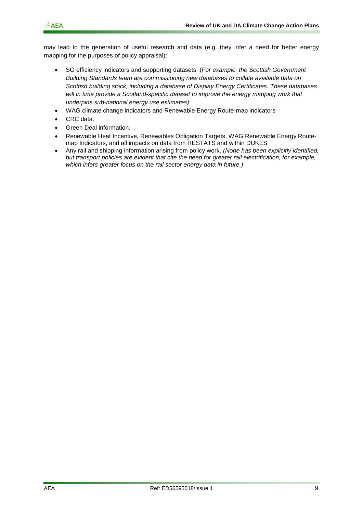may lead to the generation of useful research and data (e.g. they infer a need for better energy mapping for the purposes of policy appraisal):

- SG efficiency indicators and supporting datasets. (*For example, the Scottish Government Building Standards team are commissioning new databases to collate available data on Scottish building stock, including a database of Display Energy Certificates. These databases*  will in time provide a Scotland-specific dataset to improve the energy mapping work that *underpins sub-national energy use estimates).*
- WAG climate change indicators and Renewable Energy Route-map indicators
- CRC data.
- Green Deal information.
- Renewable Heat Incentive, Renewables Obligation Targets, WAG Renewable Energy Routemap Indicators, and all impacts on data from RESTATS and within DUKES
- Any rail and shipping information arising from policy work. *(None has been explicitly identified, but transport policies are evident that cite the need for greater rail electrification, for example, which infers greater focus on the rail sector energy data in future.)*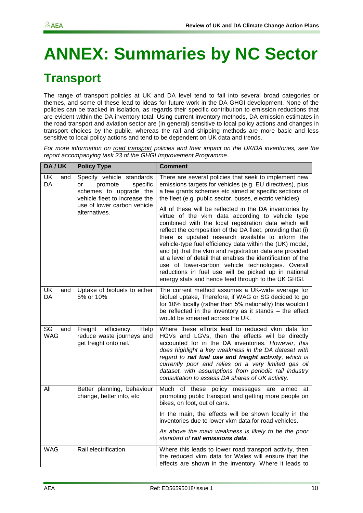# <span id="page-13-0"></span>**ANNEX: Summaries by NC Sector**

### <span id="page-13-1"></span>**Transport**

The range of transport policies at UK and DA level tend to fall into several broad categories or themes, and some of these lead to ideas for future work in the DA GHGI development. None of the policies can be tracked in isolation, as regards their specific contribution to emission reductions that are evident within the DA inventory total. Using current inventory methods, DA emission estimates in the road transport and aviation sector are (in general) sensitive to local policy actions and changes in transport choices by the public, whereas the rail and shipping methods are more basic and less sensitive to local policy actions and tend to be dependent on UK data and trends.

*For more information on road transport policies and their impact on the UK/DA inventories, see the report accompanying task 23 of the GHGI Improvement Programme.*

| DA/UK                   | <b>Policy Type</b>                                                                                                | <b>Comment</b>                                                                                                                                                                                                                                                                                                                                                                                                                                                                                                                                                                                                                                     |
|-------------------------|-------------------------------------------------------------------------------------------------------------------|----------------------------------------------------------------------------------------------------------------------------------------------------------------------------------------------------------------------------------------------------------------------------------------------------------------------------------------------------------------------------------------------------------------------------------------------------------------------------------------------------------------------------------------------------------------------------------------------------------------------------------------------------|
| <b>UK</b><br>and<br>DA  | Specify vehicle standards<br>specific<br>promote<br>or<br>schemes to upgrade the<br>vehicle fleet to increase the | There are several policies that seek to implement new<br>emissions targets for vehicles (e.g. EU directives), plus<br>a few grants schemes etc aimed at specific sections of<br>the fleet (e.g. public sector, buses, electric vehicles)                                                                                                                                                                                                                                                                                                                                                                                                           |
|                         | use of lower carbon vehicle<br>alternatives.                                                                      | All of these will be reflected in the DA inventories by<br>virtue of the vkm data according to vehicle type<br>combined with the local registration data which will<br>reflect the composition of the DA fleet, providing that (i)<br>there is updated research available to inform the<br>vehicle-type fuel efficiency data within the (UK) model,<br>and (ii) that the vkm and registration data are provided<br>at a level of detail that enables the identification of the<br>use of lower-carbon vehicle technologies. Overall<br>reductions in fuel use will be picked up in national<br>energy stats and hence feed through to the UK GHGI. |
| <b>UK</b><br>and<br>DA  | Uptake of biofuels to either<br>5% or 10%                                                                         | The current method assumes a UK-wide average for<br>biofuel uptake, Therefore, if WAG or SG decided to go<br>for 10% locally (rather than 5% nationally) this wouldn't<br>be reflected in the inventory as it stands - the effect<br>would be smeared across the UK.                                                                                                                                                                                                                                                                                                                                                                               |
| SG<br>and<br><b>WAG</b> | efficiency.<br>Freight<br>Help<br>reduce waste journeys and<br>get freight onto rail.                             | Where these efforts lead to reduced vkm data for<br>HGVs and LGVs, then the effects will be directly<br>accounted for in the DA inventories. However, this<br>does highlight a key weakness in the DA dataset with<br>regard to rail fuel use and freight activity, which is<br>currently poor and relies on a very limited gas oil<br>dataset, with assumptions from periodic rail industry<br>consultation to assess DA shares of UK activity.                                                                                                                                                                                                   |
| All                     | Better planning, behaviour<br>change, better info, etc                                                            | Much of these policy messages are aimed at<br>promoting public transport and getting more people on<br>bikes, on foot, out of cars.                                                                                                                                                                                                                                                                                                                                                                                                                                                                                                                |
|                         |                                                                                                                   | In the main, the effects will be shown locally in the<br>inventories due to lower vkm data for road vehicles.                                                                                                                                                                                                                                                                                                                                                                                                                                                                                                                                      |
|                         |                                                                                                                   | As above the main weakness is likely to be the poor<br>standard of <b>rail emissions data</b> .                                                                                                                                                                                                                                                                                                                                                                                                                                                                                                                                                    |
| <b>WAG</b>              | Rail electrification                                                                                              | Where this leads to lower road transport activity, then<br>the reduced vkm data for Wales will ensure that the<br>effects are shown in the inventory. Where it leads to                                                                                                                                                                                                                                                                                                                                                                                                                                                                            |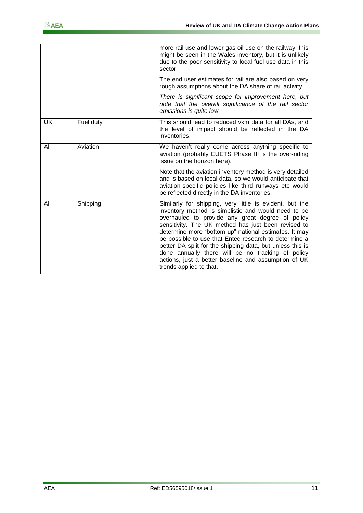|           |           | more rail use and lower gas oil use on the railway, this<br>might be seen in the Wales inventory, but it is unlikely<br>due to the poor sensitivity to local fuel use data in this<br>sector.                                                                                                                                                                                                                                                                                                                                                    |
|-----------|-----------|--------------------------------------------------------------------------------------------------------------------------------------------------------------------------------------------------------------------------------------------------------------------------------------------------------------------------------------------------------------------------------------------------------------------------------------------------------------------------------------------------------------------------------------------------|
|           |           | The end user estimates for rail are also based on very<br>rough assumptions about the DA share of rail activity.                                                                                                                                                                                                                                                                                                                                                                                                                                 |
|           |           | There is significant scope for improvement here, but<br>note that the overall significance of the rail sector<br>emissions is quite low.                                                                                                                                                                                                                                                                                                                                                                                                         |
| <b>UK</b> | Fuel duty | This should lead to reduced vkm data for all DAs, and<br>the level of impact should be reflected in the DA<br>inventories.                                                                                                                                                                                                                                                                                                                                                                                                                       |
| All       | Aviation  | We haven't really come across anything specific to<br>aviation (probably EUETS Phase III is the over-riding<br>issue on the horizon here).                                                                                                                                                                                                                                                                                                                                                                                                       |
|           |           | Note that the aviation inventory method is very detailed<br>and is based on local data, so we would anticipate that<br>aviation-specific policies like third runways etc would<br>be reflected directly in the DA inventories.                                                                                                                                                                                                                                                                                                                   |
| All       | Shipping  | Similarly for shipping, very little is evident, but the<br>inventory method is simplistic and would need to be<br>overhauled to provide any great degree of policy<br>sensitivity. The UK method has just been revised to<br>determine more "bottom-up" national estimates. It may<br>be possible to use that Entec research to determine a<br>better DA split for the shipping data, but unless this is<br>done annually there will be no tracking of policy<br>actions, just a better baseline and assumption of UK<br>trends applied to that. |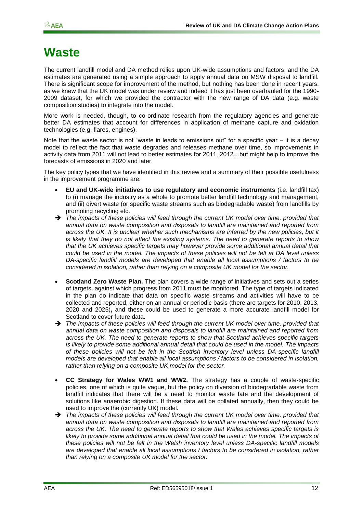### <span id="page-15-0"></span>**Waste**

The current landfill model and DA method relies upon UK-wide assumptions and factors, and the DA estimates are generated using a simple approach to apply annual data on MSW disposal to landfill. There is significant scope for improvement of the method, but nothing has been done in recent years, as we knew that the UK model was under review and indeed it has just been overhauled for the 1990- 2009 dataset, for which we provided the contractor with the new range of DA data (e.g. waste composition studies) to integrate into the model.

More work is needed, though, to co-ordinate research from the regulatory agencies and generate better DA estimates that account for differences in application of methane capture and oxidation technologies (e.g. flares, engines).

Note that the waste sector is not "waste in leads to emissions out" for a specific year – it is a decay model to reflect the fact that waste degrades and releases methane over time, so improvements in activity data from 2011 will not lead to better estimates for 2011, 2012…but might help to improve the forecasts of emissions in 2020 and later.

The key policy types that we have identified in this review and a summary of their possible usefulness in the improvement programme are:

- **EU and UK-wide initiatives to use regulatory and economic instruments** (i.e. landfill tax) to (i) manage the industry as a whole to promote better landfill technology and management, and (ii) divert waste (or specific waste streams such as biodegradable waste) from landfills by promoting recycling etc.
- *The impacts of these policies will feed through the current UK model over time, provided that annual data on waste composition and disposals to landfill are maintained and reported from across the UK. It is unclear whether such mechanisms are inferred by the new policies, but it is likely that they do not affect the existing systems. The need to generate reports to show that the UK achieves specific targets may however provide some additional annual detail that could be used in the model. The impacts of these policies will not be felt at DA level unless DA-specific landfill models are developed that enable all local assumptions / factors to be considered in isolation, rather than relying on a composite UK model for the sector.*
- **Scotland Zero Waste Plan.** The plan covers a wide range of initiatives and sets out a series of targets, against which progress from 2011 must be monitored. The type of targets indicated in the plan do indicate that data on specific waste streams and activities will have to be collected and reported, either on an annual or periodic basis (there are targets for 2010, 2013, 2020 and 2025)**,** and these could be used to generate a more accurate landfill model for Scotland to cover future data.
- *The impacts of these policies will feed through the current UK model over time, provided that annual data on waste composition and disposals to landfill are maintained and reported from across the UK. The need to generate reports to show that Scotland achieves specific targets is likely to provide some additional annual detail that could be used in the model. The impacts of these policies will not be felt in the Scottish inventory level unless DA-specific landfill models are developed that enable all local assumptions / factors to be considered in isolation, rather than relying on a composite UK model for the sector.*
- **CC Strategy for Wales WW1 and WW2.** The strategy has a couple of waste-specific policies, one of which is quite vague, but the policy on diversion of biodegradable waste from landfill indicates that there will be a need to monitor waste fate and the development of solutions like anaerobic digestion. If these data will be collated annually, then they could be used to improve the (currently UK) model.
- → The impacts of these policies will feed through the current UK model over time, provided that *annual data on waste composition and disposals to landfill are maintained and reported from across the UK. The need to generate reports to show that Wales achieves specific targets is*  likely to provide some additional annual detail that could be used in the model. The impacts of *these policies will not be felt in the Welsh inventory level unless DA-specific landfill models are developed that enable all local assumptions / factors to be considered in isolation, rather than relying on a composite UK model for the sector.*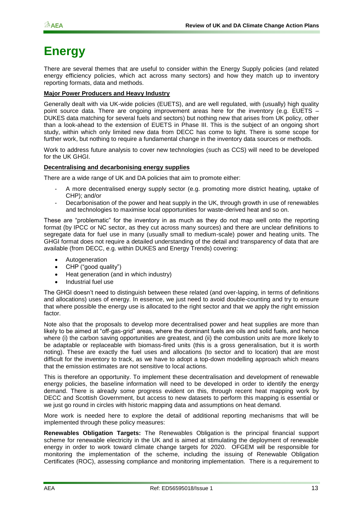### <span id="page-16-0"></span>**Energy**

There are several themes that are useful to consider within the Energy Supply policies (and related energy efficiency policies, which act across many sectors) and how they match up to inventory reporting formats, data and methods.

#### **Major Power Producers and Heavy Industry**

Generally dealt with via UK-wide policies (EUETS), and are well regulated, with (usually) high quality point source data. There are ongoing improvement areas here for the inventory (e.g. EUETS – DUKES data matching for several fuels and sectors) but nothing new that arises from UK policy, other than a look-ahead to the extension of EUETS in Phase III. This is the subject of an ongoing short study, within which only limited new data from DECC has come to light. There is some scope for further work, but nothing to require a fundamental change in the inventory data sources or methods.

Work to address future analysis to cover new technologies (such as CCS) will need to be developed for the UK GHGI.

#### **Decentralising and decarbonising energy supplies**

There are a wide range of UK and DA policies that aim to promote either:

- A more decentralised energy supply sector (e.g. promoting more district heating, uptake of CHP); and/or
- Decarbonisation of the power and heat supply in the UK, through growth in use of renewables and technologies to maximise local opportunities for waste-derived heat and so on.

These are "problematic" for the inventory in as much as they do not map well onto the reporting format (by IPCC or NC sector, as they cut across many sources) and there are unclear definitions to segregate data for fuel use in many (usually small to medium-scale) power and heating units. The GHGI format does not require a detailed understanding of the detail and transparency of data that are available (from DECC, e.g. within DUKES and Energy Trends) covering:

- Autogeneration
- CHP ("good quality")
- Heat generation (and in which industry)
- Industrial fuel use

The GHGI doesn"t need to distinguish between these related (and over-lapping, in terms of definitions and allocations) uses of energy. In essence, we just need to avoid double-counting and try to ensure that where possible the energy use is allocated to the right sector and that we apply the right emission factor.

Note also that the proposals to develop more decentralised power and heat supplies are more than likely to be aimed at "off-gas-grid" areas, where the dominant fuels are oils and solid fuels, and hence where (i) the carbon saving opportunities are greatest, and (ii) the combustion units are more likely to be adaptable or replaceable with biomass-fired units (this is a gross generalisation, but it is worth noting). These are exactly the fuel uses and allocations (to sector and to location) that are most difficult for the inventory to track, as we have to adopt a top-down modelling approach which means that the emission estimates are not sensitive to local actions.

This is therefore an opportunity. To implement these decentralisation and development of renewable energy policies, the baseline information will need to be developed in order to identify the energy demand. There is already some progress evident on this, through recent heat mapping work by DECC and Scottish Government, but access to new datasets to perform this mapping is essential or we just go round in circles with historic mapping data and assumptions on heat demand.

More work is needed here to explore the detail of additional reporting mechanisms that will be implemented through these policy measures:

**Renewables Obligation Targets:** The Renewables Obligation is the principal financial support scheme for renewable electricity in the UK and is aimed at stimulating the deployment of renewable energy in order to work toward climate change targets for 2020. OFGEM will be responsible for monitoring the implementation of the scheme, including the issuing of Renewable Obligation Certificates (ROC), assessing compliance and monitoring implementation. There is a requirement to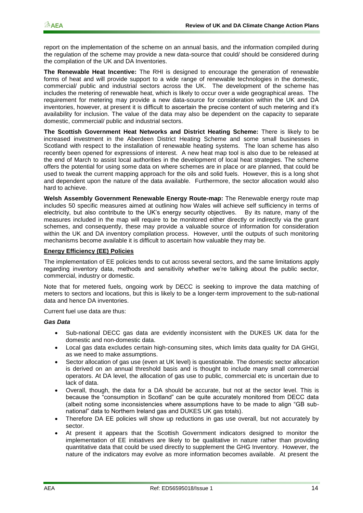report on the implementation of the scheme on an annual basis, and the information compiled during the regulation of the scheme may provide a new data-source that could/ should be considered during the compilation of the UK and DA Inventories.

**The Renewable Heat Incentive:** The RHI is designed to encourage the generation of renewable forms of heat and will provide support to a wide range of renewable technologies in the domestic, commercial/ public and industrial sectors across the UK. The development of the scheme has includes the metering of renewable heat, which is likely to occur over a wide geographical areas. The requirement for metering may provide a new data-source for consideration within the UK and DA inventories, however, at present it is difficult to ascertain the precise content of such metering and it"s availability for inclusion. The value of the data may also be dependent on the capacity to separate domestic, commercial/ public and industrial sectors.

**The Scottish Government Heat Networks and District Heating Scheme:** There is likely to be increased investment in the Aberdeen District Heating Scheme and some small businesses in Scotland with respect to the installation of renewable heating systems. The loan scheme has also recently been opened for expressions of interest. A new heat map tool is also due to be released at the end of March to assist local authorities in the development of local heat strategies. The scheme offers the potential for using some data on where schemes are in place or are planned, that could be used to tweak the current mapping approach for the oils and solid fuels. However, this is a long shot and dependent upon the nature of the data available. Furthermore, the sector allocation would also hard to achieve.

**Welsh Assembly Government Renewable Energy Route-map:** The Renewable energy route map includes 50 specific measures aimed at outlining how Wales will achieve self sufficiency in terms of electricity, but also contribute to the UK's energy security objectives. By its nature, many of the measures included in the map will require to be monitored either directly or indirectly via the grant schemes, and consequently, these may provide a valuable source of information for consideration within the UK and DA inventory compilation process. However, until the outputs of such monitoring mechanisms become available it is difficult to ascertain how valuable they may be.

#### **Energy Efficiency (EE) Policies**

The implementation of EE policies tends to cut across several sectors, and the same limitations apply regarding inventory data, methods and sensitivity whether we"re talking about the public sector, commercial, industry or domestic.

Note that for metered fuels, ongoing work by DECC is seeking to improve the data matching of meters to sectors and locations, but this is likely to be a longer-term improvement to the sub-national data and hence DA inventories.

Current fuel use data are thus:

#### *Gas Data*

- Sub-national DECC gas data are evidently inconsistent with the DUKES UK data for the domestic and non-domestic data.
- Local gas data excludes certain high-consuming sites, which limits data quality for DA GHGI, as we need to make assumptions.
- Sector allocation of gas use (even at UK level) is questionable. The domestic sector allocation is derived on an annual threshold basis and is thought to include many small commercial operators. At DA level, the allocation of gas use to public, commercial etc is uncertain due to lack of data.
- Overall, though, the data for a DA should be accurate, but not at the sector level. This is because the "consumption in Scotland" can be quite accurately monitored from DECC data (albeit noting some inconsistencies where assumptions have to be made to align "GB subnational" data to Northern Ireland gas and DUKES UK gas totals).
- Therefore DA EE policies will show up reductions in gas use overall, but not accurately by sector.
- At present it appears that the Scottish Government indicators designed to monitor the implementation of EE initiatives are likely to be qualitative in nature rather than providing quantitative data that could be used directly to supplement the GHG Inventory. However, the nature of the indicators may evolve as more information becomes available. At present the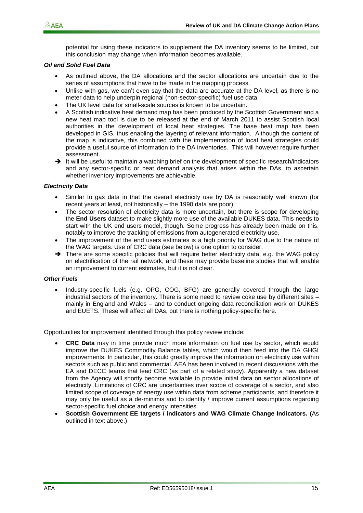potential for using these indicators to supplement the DA inventory seems to be limited, but this conclusion may change when information becomes available.

#### *Oil and Solid Fuel Data*

- As outlined above, the DA allocations and the sector allocations are uncertain due to the series of assumptions that have to be made in the mapping process.
- Unlike with gas, we can"t even say that the data are accurate at the DA level, as there is no meter data to help underpin regional (non-sector-specific) fuel use data.
- The UK level data for small-scale sources is known to be uncertain.
- A Scottish indicative heat demand map has been produced by the Scottish Government and a new heat map tool is due to be released at the end of March 2011 to assist Scottish local authorities in the development of local heat strategies. The base heat map has been developed in GIS, thus enabling the layering of relevant information. Although the content of the map is indicative, this combined with the implementation of local heat strategies could provide a useful source of information to the DA inventories. This will however require further assessment.
- $\rightarrow$  It will be useful to maintain a watching brief on the development of specific research/indicators and any sector-specific or heat demand analysis that arises within the DAs, to ascertain whether inventory improvements are achievable.

#### *Electricity Data*

- Similar to gas data in that the overall electricity use by DA is reasonably well known (for recent years at least, not historically – the 1990 data are poor).
- The sector resolution of electricity data is more uncertain, but there is scope for developing the **End Users** dataset to make slightly more use of the available DUKES data. This needs to start with the UK end users model, though. Some progress has already been made on this, notably to improve the tracking of emissions from autogenerated electricity use.
- The improvement of the end users estimates is a high priority for WAG due to the nature of the WAG targets. Use of CRC data (see below) is one option to consider.
- $\rightarrow$  There are some specific policies that will require better electricity data, e.g. the WAG policy on electrification of the rail network, and these may provide baseline studies that will enable an improvement to current estimates, but it is not clear.

#### *Other Fuels*

 Industry-specific fuels (e.g. OPG, COG, BFG) are generally covered through the large industrial sectors of the inventory. There is some need to review coke use by different sites – mainly in England and Wales – and to conduct ongoing data reconciliation work on DUKES and EUETS. These will affect all DAs, but there is nothing policy-specific here.

Opportunities for improvement identified through this policy review include:

- **CRC Data** may in time provide much more information on fuel use by sector, which would improve the DUKES Commodity Balance tables, which would then feed into the DA GHGI improvements. In particular, this could greatly improve the information on electricity use within sectors such as public and commercial. AEA has been involved in recent discussions with the EA and DECC teams that lead CRC (as part of a related study). Apparently a new dataset from the Agency will shortly become available to provide initial data on sector allocations of electricity. Limitations of CRC are uncertainties over scope of coverage of a sector, and also limited scope of coverage of energy use within data from scheme participants, and therefore it may only be useful as a de-minimis and to identify / improve current assumptions regarding sector-specific fuel choice and energy intensities.
- **Scottish Government EE targets / indicators and WAG Climate Change Indicators. (**As outlined in text above.)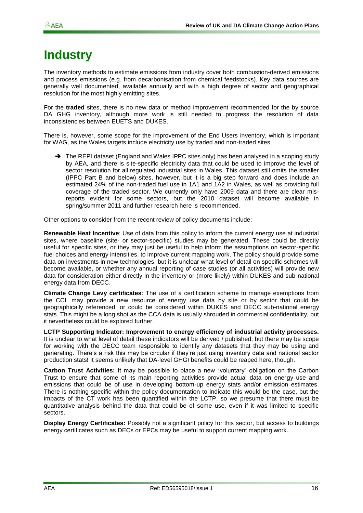### <span id="page-19-0"></span>**Industry**

The inventory methods to estimate emissions from industry cover both combustion-derived emissions and process emissions (e.g. from decarbonisation from chemical feedstocks). Key data sources are generally well documented, available annually and with a high degree of sector and geographical resolution for the most highly emitting sites.

For the **traded** sites, there is no new data or method improvement recommended for the by source DA GHG inventory, although more work is still needed to progress the resolution of data inconsistencies between EUETS and DUKES.

There is, however, some scope for the improvement of the End Users inventory, which is important for WAG, as the Wales targets include electricity use by traded and non-traded sites.

→ The REPI dataset (England and Wales IPPC sites only) has been analysed in a scoping study by AEA, and there is site-specific electricity data that could be used to improve the level of sector resolution for all regulated industrial sites in Wales. This dataset still omits the smaller (IPPC Part B and below) sites, however, but it is a big step forward and does include an estimated 24% of the non-traded fuel use in 1A1 and 1A2 in Wales, as well as providing full coverage of the traded sector. We currently only have 2009 data and there are clear misreports evident for some sectors, but the 2010 dataset will become available in spring/summer 2011 and further research here is recommended.

Other options to consider from the recent review of policy documents include:

**Renewable Heat Incentive**: Use of data from this policy to inform the current energy use at industrial sites, where baseline (site- or sector-specific) studies may be generated. These could be directly useful for specific sites, or they may just be useful to help inform the assumptions on sector-specific fuel choices and energy intensities, to improve current mapping work. The policy should provide some data on investments in new technologies, but it is unclear what level of detail on specific schemes will become available, or whether any annual reporting of case studies (or all activities) will provide new data for consideration either directly in the inventory or (more likely) within DUKES and sub-national energy data from DECC.

**Climate Change Levy certificates**: The use of a certification scheme to manage exemptions from the CCL may provide a new resource of energy use data by site or by sector that could be geographically referenced, or could be considered within DUKES and DECC sub-national energy stats. This might be a long shot as the CCA data is usually shrouded in commercial confidentiality, but it nevertheless could be explored further.

**LCTP Supporting Indicator: Improvement to energy efficiency of industrial activity processes.**  It is unclear to what level of detail these indicators will be derived / published, but there may be scope for working with the DECC team responsible to identify any datasets that they may be using and generating. There"s a risk this may be circular if they"re just using inventory data and national sector production stats! It seems unlikely that DA-level GHGI benefits could be reaped here, though.

**Carbon Trust Activities:** It may be possible to place a new "voluntary" obligation on the Carbon Trust to ensure that some of its main reporting activities provide actual data on energy use and emissions that could be of use in developing bottom-up energy stats and/or emission estimates. There is nothing specific within the policy documentation to indicate this would be the case, but the impacts of the CT work has been quantified within the LCTP, so we presume that there must be quantitative analysis behind the data that could be of some use, even if it was limited to specific sectors.

**Display Energy Certificates:** Possibly not a significant policy for this sector, but access to buildings energy certificates such as DECs or EPCs may be useful to support current mapping work.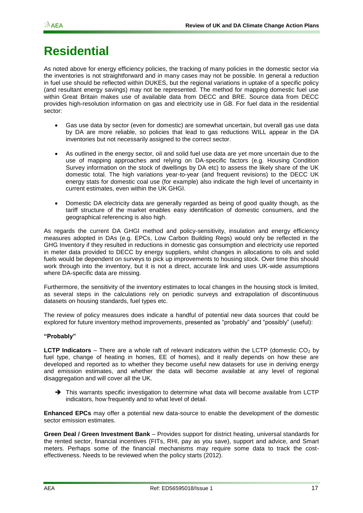### <span id="page-20-0"></span>**Residential**

As noted above for energy efficiency policies, the tracking of many policies in the domestic sector via the inventories is not straightforward and in many cases may not be possible. In general a reduction in fuel use should be reflected within DUKES, but the regional variations in uptake of a specific policy (and resultant energy savings) may not be represented. The method for mapping domestic fuel use within Great Britain makes use of available data from DECC and BRE. Source data from DECC provides high-resolution information on gas and electricity use in GB. For fuel data in the residential sector:

- Gas use data by sector (even for domestic) are somewhat uncertain, but overall gas use data by DA are more reliable, so policies that lead to gas reductions WILL appear in the DA inventories but not necessarily assigned to the correct sector.
- As outlined in the energy sector, oil and solid fuel use data are yet more uncertain due to the use of mapping approaches and relying on DA-specific factors (e.g. Housing Condition Survey information on the stock of dwellings by DA etc) to assess the likely share of the UK domestic total. The high variations year-to-year (and frequent revisions) to the DECC UK energy stats for domestic coal use (for example) also indicate the high level of uncertainty in current estimates, even within the UK GHGI.
- Domestic DA electricity data are generally regarded as being of good quality though, as the tariff structure of the market enables easy identification of domestic consumers, and the geographical referencing is also high.

As regards the current DA GHGI method and policy-sensitivity, insulation and energy efficiency measures adopted in DAs (e.g. EPCs, Low Carbon Building Regs) would only be reflected in the GHG Inventory if they resulted in reductions in domestic gas consumption and electricity use reported in meter data provided to DECC by energy suppliers, whilst changes in allocations to oils and solid fuels would be dependent on surveys to pick up improvements to housing stock. Over time this should work through into the inventory, but it is not a direct, accurate link and uses UK-wide assumptions where DA-specific data are missing.

Furthermore, the sensitivity of the inventory estimates to local changes in the housing stock is limited, as several steps in the calculations rely on periodic surveys and extrapolation of discontinuous datasets on housing standards, fuel types etc.

The review of policy measures does indicate a handful of potential new data sources that could be explored for future inventory method improvements, presented as "probably" and "possibly" (useful):

#### **"Probably"**

**LCTP Indicators** – There are a whole raft of relevant indicators within the LCTP (domestic  $CO<sub>2</sub>$  by fuel type, change of heating in homes, EE of homes), and it really depends on how these are developed and reported as to whether they become useful new datasets for use in deriving energy and emission estimates, and whether the data will become available at any level of regional disaggregation and will cover all the UK.

→ This warrants specific investigation to determine what data will become available from LCTP indicators, how frequently and to what level of detail.

**Enhanced EPCs** may offer a potential new data-source to enable the development of the domestic sector emission estimates.

**Green Deal / Green Investment Bank** – Provides support for district heating, universal standards for the rented sector, financial incentives (FITs, RHI, pay as you save), support and advice, and Smart meters. Perhaps some of the financial mechanisms may require some data to track the costeffectiveness. Needs to be reviewed when the policy starts (2012).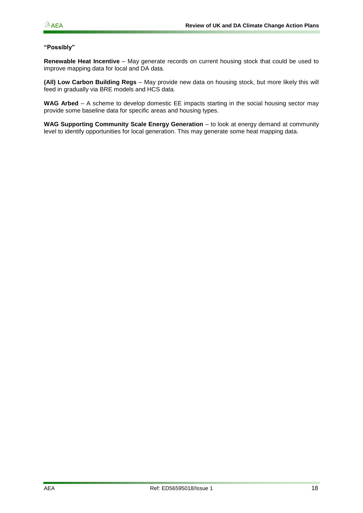#### **"Possibly"**

**Renewable Heat Incentive** – May generate records on current housing stock that could be used to improve mapping data for local and DA data.

**(All) Low Carbon Building Regs** – May provide new data on housing stock, but more likely this will feed in gradually via BRE models and HCS data.

**WAG Arbed** – A scheme to develop domestic EE impacts starting in the social housing sector may provide some baseline data for specific areas and housing types.

**WAG Supporting Community Scale Energy Generation** – to look at energy demand at community level to identify opportunities for local generation. This may generate some heat mapping data.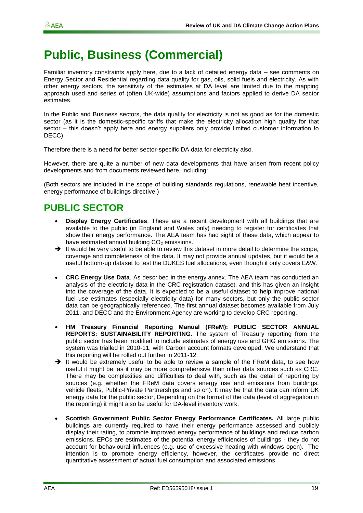### <span id="page-22-0"></span>**Public, Business (Commercial)**

Familiar inventory constraints apply here, due to a lack of detailed energy data – see comments on Energy Sector and Residential regarding data quality for gas, oils, solid fuels and electricity. As with other energy sectors, the sensitivity of the estimates at DA level are limited due to the mapping approach used and series of (often UK-wide) assumptions and factors applied to derive DA sector estimates.

In the Public and Business sectors, the data quality for electricity is not as good as for the domestic sector (as it is the domestic-specific tariffs that make the electricity allocation high quality for that sector – this doesn't apply here and energy suppliers only provide limited customer information to DECC).

Therefore there is a need for better sector-specific DA data for electricity also.

However, there are quite a number of new data developments that have arisen from recent policy developments and from documents reviewed here, including:

(Both sectors are included in the scope of building standards regulations, renewable heat incentive, energy performance of buildings directive.)

### <span id="page-22-1"></span>**PUBLIC SECTOR**

- **Display Energy Certificates**. These are a recent development with all buildings that are available to the public (in England and Wales only) needing to register for certificates that show their energy performance. The AEA team has had sight of these data, which appear to have estimated annual building  $CO<sub>2</sub>$  emissions.
- $\rightarrow$  It would be very useful to be able to review this dataset in more detail to determine the scope, coverage and completeness of the data. It may not provide annual updates, but it would be a useful bottom-up dataset to test the DUKES fuel allocations, even though it only covers E&W.
- **CRC Energy Use Data**. As described in the energy annex. The AEA team has conducted an analysis of the electricity data in the CRC registration dataset, and this has given an insight into the coverage of the data. It is expected to be a useful dataset to help improve national fuel use estimates (especially electricity data) for many sectors, but only the public sector data can be geographically referenced. The first annual dataset becomes available from July 2011, and DECC and the Environment Agency are working to develop CRC reporting.
- **HM Treasury Financial Reporting Manual (FReM): PUBLIC SECTOR ANNUAL REPORTS: SUSTAINABILITY REPORTING.** The system of Treasury reporting from the public sector has been modified to include estimates of energy use and GHG emissions. The system was trialled in 2010-11, with Carbon account formats developed. We understand that this reporting will be rolled out further in 2011-12.
- $\rightarrow$  It would be extremely useful to be able to review a sample of the FReM data, to see how useful it might be, as it may be more comprehensive than other data sources such as CRC. There may be complexities and difficulties to deal with, such as the detail of reporting by sources (e.g. whether the FReM data covers energy use and emissions from buildings, vehicle fleets, Public-Private Partnerships and so on). It may be that the data can inform UK energy data for the public sector, Depending on the format of the data (level of aggregation in the reporting) it might also be useful for DA-level inventory work.
- **Scottish Government Public Sector Energy Performance Certificates.** All large public buildings are currently required to have their energy performance assessed and publicly display their rating, to promote improved energy performance of buildings and reduce carbon emissions. EPCs are estimates of the potential energy efficiencies of buildings - they do not account for behavioural influences (e.g. use of excessive heating with windows open). The intention is to promote energy efficiency, however, the certificates provide no direct quantitative assessment of actual fuel consumption and associated emissions.